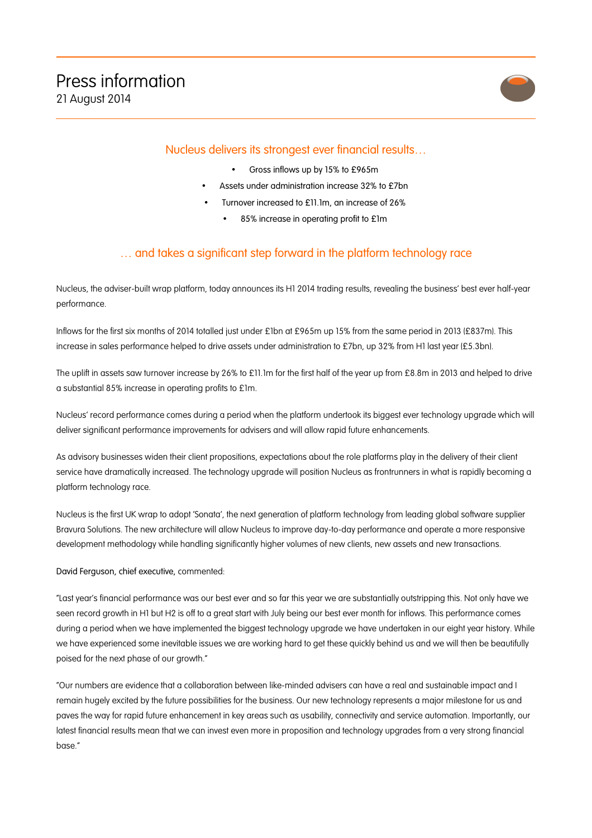

## Nucleus delivers its strongest ever financial results…

- Gross inflows up by 15% to £965m
- Assets under administration increase 32% to £7bn
- Turnover increased to £11.1m, an increase of 26%
	- 85% increase in operating profit to £1m

## … and takes a significant step forward in the platform technology race

Nucleus, the adviser-built wrap platform, today announces its H1 2014 trading results, revealing the business' best ever half-year performance.

Inflows for the first six months of 2014 totalled just under £1bn at £965m up 15% from the same period in 2013 (£837m). This increase in sales performance helped to drive assets under administration to £7bn, up 32% from H1 last year (£5.3bn).

The uplift in assets saw turnover increase by 26% to £11.1m for the first half of the year up from £8.8m in 2013 and helped to drive a substantial 85% increase in operating profits to £1m.

Nucleus' record performance comes during a period when the platform undertook its biggest ever technology upgrade which will deliver significant performance improvements for advisers and will allow rapid future enhancements.

As advisory businesses widen their client propositions, expectations about the role platforms play in the delivery of their client service have dramatically increased. The technology upgrade will position Nucleus as frontrunners in what is rapidly becoming a platform technology race.

Nucleus is the first UK wrap to adopt 'Sonata', the next generation of platform technology from leading global software supplier Bravura Solutions. The new architecture will allow Nucleus to improve day-to-day performance and operate a more responsive development methodology while handling significantly higher volumes of new clients, new assets and new transactions.

David Ferguson, chief executive, commented:

"Last year's financial performance was our best ever and so far this year we are substantially outstripping this. Not only have we seen record growth in H1 but H2 is off to a great start with July being our best ever month for inflows. This performance comes during a period when we have implemented the biggest technology upgrade we have undertaken in our eight year history. While we have experienced some inevitable issues we are working hard to get these quickly behind us and we will then be beautifully poised for the next phase of our growth."

"Our numbers are evidence that a collaboration between like-minded advisers can have a real and sustainable impact and I remain hugely excited by the future possibilities for the business. Our new technology represents a major milestone for us and paves the way for rapid future enhancement in key areas such as usability, connectivity and service automation. Importantly, our latest financial results mean that we can invest even more in proposition and technology upgrades from a very strong financial base."